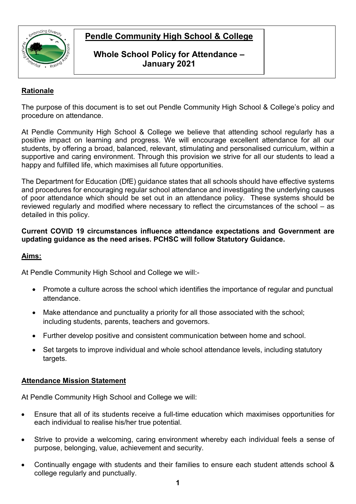

## **Whole School Policy for Attendance – January 2021**

### **Rationale**

The purpose of this document is to set out Pendle Community High School & College's policy and procedure on attendance.

At Pendle Community High School & College we believe that attending school regularly has a positive impact on learning and progress. We will encourage excellent attendance for all our students, by offering a broad, balanced, relevant, stimulating and personalised curriculum, within a supportive and caring environment. Through this provision we strive for all our students to lead a happy and fulfilled life, which maximises all future opportunities.

The Department for Education (DfE) guidance states that all schools should have effective systems and procedures for encouraging regular school attendance and investigating the underlying causes of poor attendance which should be set out in an attendance policy. These systems should be reviewed regularly and modified where necessary to reflect the circumstances of the school – as detailed in this policy.

#### **Current COVID 19 circumstances influence attendance expectations and Government are updating guidance as the need arises. PCHSC will follow Statutory Guidance.**

### **Aims:**

At Pendle Community High School and College we will:-

- Promote a culture across the school which identifies the importance of regular and punctual attendance.
- Make attendance and punctuality a priority for all those associated with the school; including students, parents, teachers and governors.
- Further develop positive and consistent communication between home and school.
- Set targets to improve individual and whole school attendance levels, including statutory targets.

### **Attendance Mission Statement**

At Pendle Community High School and College we will:

- Ensure that all of its students receive a full-time education which maximises opportunities for each individual to realise his/her true potential.
- Strive to provide a welcoming, caring environment whereby each individual feels a sense of purpose, belonging, value, achievement and security.
- Continually engage with students and their families to ensure each student attends school & college regularly and punctually.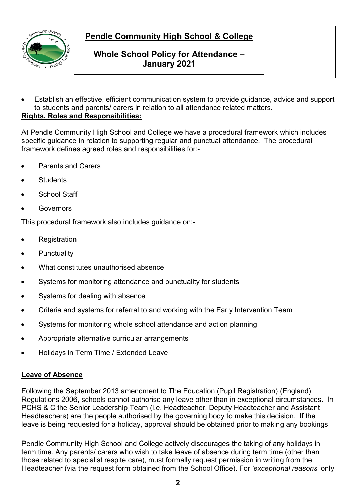

# **Whole School Policy for Attendance – January 2021**

• Establish an effective, efficient communication system to provide guidance, advice and support to students and parents/ carers in relation to all attendance related matters. **Rights, Roles and Responsibilities:**

At Pendle Community High School and College we have a procedural framework which includes specific guidance in relation to supporting regular and punctual attendance. The procedural framework defines agreed roles and responsibilities for:-

- Parents and Carers
- **Students**
- School Staff
- **Governors**

This procedural framework also includes guidance on:-

- **Registration**
- **Punctuality**
- What constitutes unauthorised absence
- Systems for monitoring attendance and punctuality for students
- Systems for dealing with absence
- Criteria and systems for referral to and working with the Early Intervention Team
- Systems for monitoring whole school attendance and action planning
- Appropriate alternative curricular arrangements
- Holidays in Term Time / Extended Leave

### **Leave of Absence**

Following the September 2013 amendment to The Education (Pupil Registration) (England) Regulations 2006, schools cannot authorise any leave other than in exceptional circumstances. In PCHS & C the Senior Leadership Team (i.e. Headteacher, Deputy Headteacher and Assistant Headteachers) are the people authorised by the governing body to make this decision. If the leave is being requested for a holiday, approval should be obtained prior to making any bookings

Pendle Community High School and College actively discourages the taking of any holidays in term time. Any parents/ carers who wish to take leave of absence during term time (other than those related to specialist respite care), must formally request permission in writing from the Headteacher (via the request form obtained from the School Office). For *'exceptional reasons'* only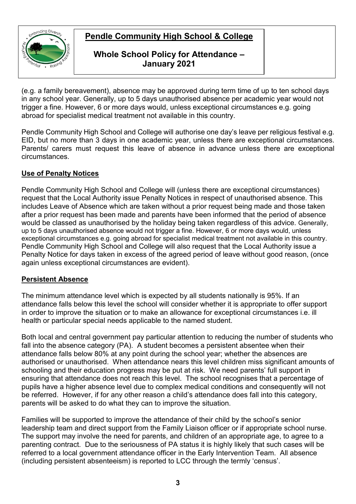

## **Whole School Policy for Attendance – January 2021**

(e.g. a family bereavement), absence may be approved during term time of up to ten school days in any school year. Generally, up to 5 days unauthorised absence per academic year would not trigger a fine. However, 6 or more days would, unless exceptional circumstances e.g. going abroad for specialist medical treatment not available in this country.

Pendle Community High School and College will authorise one day's leave per religious festival e.g. EID, but no more than 3 days in one academic year, unless there are exceptional circumstances. Parents/ carers must request this leave of absence in advance unless there are exceptional circumstances.

### **Use of Penalty Notices**

Pendle Community High School and College will (unless there are exceptional circumstances) request that the Local Authority issue Penalty Notices in respect of unauthorised absence. This includes Leave of Absence which are taken without a prior request being made and those taken after a prior request has been made and parents have been informed that the period of absence would be classed as unauthorised by the holiday being taken regardless of this advice. Generally, up to 5 days unauthorised absence would not trigger a fine. However, 6 or more days would, unless exceptional circumstances e.g. going abroad for specialist medical treatment not available in this country. Pendle Community High School and College will also request that the Local Authority issue a Penalty Notice for days taken in excess of the agreed period of leave without good reason, (once again unless exceptional circumstances are evident).

### **Persistent Absence**

The minimum attendance level which is expected by all students nationally is 95%. If an attendance falls below this level the school will consider whether it is appropriate to offer support in order to improve the situation or to make an allowance for exceptional circumstances i.e. ill health or particular special needs applicable to the named student.

Both local and central government pay particular attention to reducing the number of students who fall into the absence category (PA). A student becomes a persistent absentee when their attendance falls below 80% at any point during the school year; whether the absences are authorised or unauthorised. When attendance nears this level children miss significant amounts of schooling and their education progress may be put at risk. We need parents' full support in ensuring that attendance does not reach this level. The school recognises that a percentage of pupils have a higher absence level due to complex medical conditions and consequently will not be referred. However, if for any other reason a child's attendance does fall into this category, parents will be asked to do what they can to improve the situation.

Families will be supported to improve the attendance of their child by the school's senior leadership team and direct support from the Family Liaison officer or if appropriate school nurse. The support may involve the need for parents, and children of an appropriate age, to agree to a parenting contract. Due to the seriousness of PA status it is highly likely that such cases will be referred to a local government attendance officer in the Early Intervention Team. All absence (including persistent absenteeism) is reported to LCC through the termly 'census'.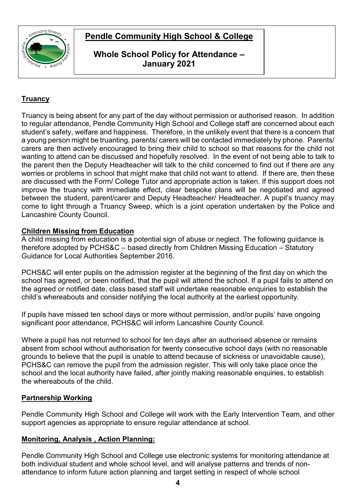



## **Whole School Policy for Attendance – January 2021**

# **Truancy**

Truancy is being absent for any part of the day without permission or authorised reason. In addition to regular attendance, Pendle Community High School and College staff are concerned about each student's safety, welfare and happiness. Therefore, in the unlikely event that there is a concern that a young person might be truanting, parents/ carers will be contacted immediately by phone. Parents/ carers are then actively encouraged to bring their child to school so that reasons for the child not wanting to attend can be discussed and hopefully resolved. In the event of not being able to talk to the parent then the Deputy Headteacher will talk to the child concerned to find out if there are any worries or problems in school that might make that child not want to attend. If there are, then these are discussed with the Form/ College Tutor and appropriate action is taken. If this support does not improve the truancy with immediate effect, clear bespoke plans will be negotiated and agreed between the student, parent/carer and Deputy Headteacher/ Headteacher. A pupil's truancy may come to light through a Truancy Sweep, which is a joint operation undertaken by the Police and Lancashire County Council.

### **Children Missing from Education**

A child missing from education is a potential sign of abuse or neglect. The following guidance is therefore adopted by PCHS&C – based directly from Children Missing Education – Statutory Guidance for Local Authorities September 2016.

PCHS&C will enter pupils on the admission register at the beginning of the first day on which the school has agreed, or been notified, that the pupil will attend the school. If a pupil fails to attend on the agreed or notified date, class based staff will undertake reasonable enquiries to establish the child's whereabouts and consider notifying the local authority at the earliest opportunity.

If pupils have missed ten school days or more without permission, and/or pupils' have ongoing significant poor attendance, PCHS&C will inform Lancashire County Council.

Where a pupil has not returned to school for ten days after an authorised absence or remains absent from school without authorisation for twenty consecutive school days (with no reasonable grounds to believe that the pupil is unable to attend because of sickness or unavoidable cause), PCHS&C can remove the pupil from the admission register. This will only take place once the school and the local authority have failed, after jointly making reasonable enquiries, to establish the whereabouts of the child.

### **Partnership Working**

Pendle Community High School and College will work with the Early Intervention Team, and other support agencies as appropriate to ensure regular attendance at school.

### **Monitoring, Analysis , Action Planning:**

Pendle Community High School and College use electronic systems for monitoring attendance at both individual student and whole school level, and will analyse patterns and trends of nonattendance to inform future action planning and target setting in respect of whole school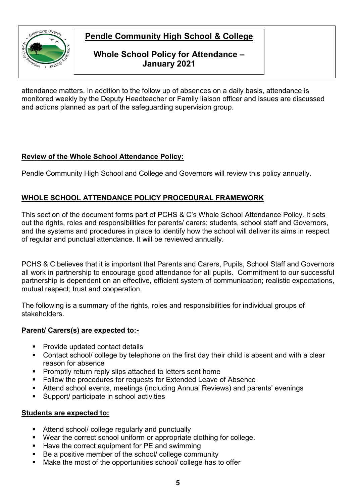

# **Whole School Policy for Attendance – January 2021**

attendance matters. In addition to the follow up of absences on a daily basis, attendance is monitored weekly by the Deputy Headteacher or Family liaison officer and issues are discussed and actions planned as part of the safeguarding supervision group.

# **Review of the Whole School Attendance Policy:**

Pendle Community High School and College and Governors will review this policy annually.

## **WHOLE SCHOOL ATTENDANCE POLICY PROCEDURAL FRAMEWORK**

This section of the document forms part of PCHS & C's Whole School Attendance Policy. It sets out the rights, roles and responsibilities for parents/ carers; students, school staff and Governors, and the systems and procedures in place to identify how the school will deliver its aims in respect of regular and punctual attendance. It will be reviewed annually.

PCHS & C believes that it is important that Parents and Carers, Pupils, School Staff and Governors all work in partnership to encourage good attendance for all pupils. Commitment to our successful partnership is dependent on an effective, efficient system of communication; realistic expectations, mutual respect; trust and cooperation.

The following is a summary of the rights, roles and responsibilities for individual groups of stakeholders.

### **Parent/ Carers(s) are expected to:-**

- **Provide updated contact details**
- Contact school/ college by telephone on the first day their child is absent and with a clear reason for absence
- **Promptly return reply slips attached to letters sent home**
- Follow the procedures for requests for Extended Leave of Absence
- Attend school events, meetings (including Annual Reviews) and parents' evenings
- Support/ participate in school activities

### **Students are expected to:**

- Attend school/ college regularly and punctually
- Wear the correct school uniform or appropriate clothing for college.
- Have the correct equipment for PE and swimming
- Be a positive member of the school/ college community
- Make the most of the opportunities school/ college has to offer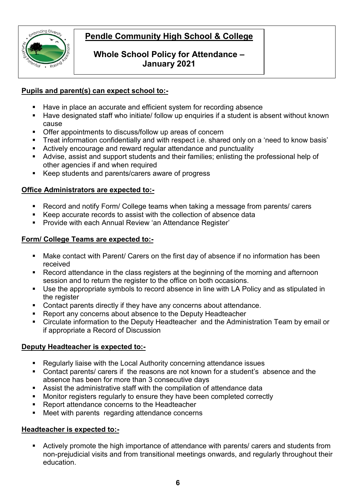

# **Whole School Policy for Attendance – January 2021**

### **Pupils and parent(s) can expect school to:-**

- Have in place an accurate and efficient system for recording absence
- Have designated staff who initiate/ follow up enquiries if a student is absent without known cause
- Offer appointments to discuss/follow up areas of concern
- **Treat information confidentially and with respect i.e. shared only on a 'need to know basis'**
- Actively encourage and reward regular attendance and punctuality
- Advise, assist and support students and their families; enlisting the professional help of other agencies if and when required
- Keep students and parents/carers aware of progress

### **Office Administrators are expected to:-**

- Record and notify Form/ College teams when taking a message from parents/ carers
- Keep accurate records to assist with the collection of absence data
- **Provide with each Annual Review 'an Attendance Register'**

### **Form/ College Teams are expected to:-**

- Make contact with Parent/ Carers on the first day of absence if no information has been received
- Record attendance in the class registers at the beginning of the morning and afternoon session and to return the register to the office on both occasions.
- Use the appropriate symbols to record absence in line with LA Policy and as stipulated in the register
- Contact parents directly if they have any concerns about attendance.
- Report any concerns about absence to the Deputy Headteacher
- Circulate information to the Deputy Headteacher and the Administration Team by email or if appropriate a Record of Discussion

### **Deputy Headteacher is expected to:-**

- Regularly liaise with the Local Authority concerning attendance issues
- Contact parents/ carers if the reasons are not known for a student's absence and the absence has been for more than 3 consecutive days
- Assist the administrative staff with the compilation of attendance data
- Monitor registers regularly to ensure they have been completed correctly
- Report attendance concerns to the Headteacher
- Meet with parents regarding attendance concerns

### **Headteacher is expected to:-**

 Actively promote the high importance of attendance with parents/ carers and students from non-prejudicial visits and from transitional meetings onwards, and regularly throughout their education.